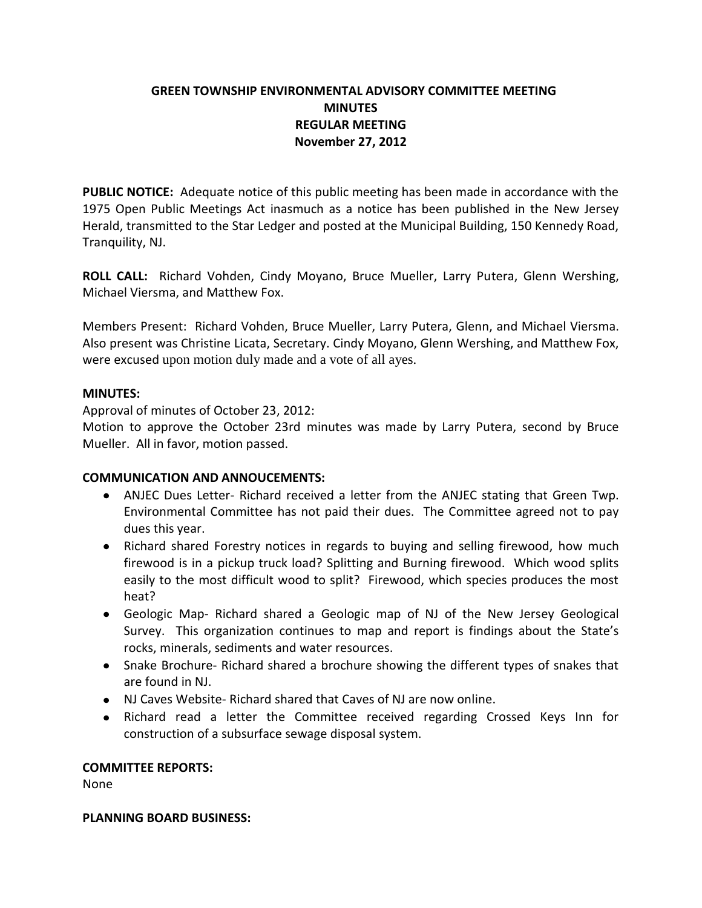# **GREEN TOWNSHIP ENVIRONMENTAL ADVISORY COMMITTEE MEETING MINUTES REGULAR MEETING November 27, 2012**

**PUBLIC NOTICE:** Adequate notice of this public meeting has been made in accordance with the 1975 Open Public Meetings Act inasmuch as a notice has been published in the New Jersey Herald, transmitted to the Star Ledger and posted at the Municipal Building, 150 Kennedy Road, Tranquility, NJ.

**ROLL CALL:** Richard Vohden, Cindy Moyano, Bruce Mueller, Larry Putera, Glenn Wershing, Michael Viersma, and Matthew Fox.

Members Present: Richard Vohden, Bruce Mueller, Larry Putera, Glenn, and Michael Viersma. Also present was Christine Licata, Secretary. Cindy Moyano, Glenn Wershing, and Matthew Fox, were excused upon motion duly made and a vote of all ayes.

### **MINUTES:**

Approval of minutes of October 23, 2012:

Motion to approve the October 23rd minutes was made by Larry Putera, second by Bruce Mueller. All in favor, motion passed.

### **COMMUNICATION AND ANNOUCEMENTS:**

- ANJEC Dues Letter- Richard received a letter from the ANJEC stating that Green Twp. Environmental Committee has not paid their dues. The Committee agreed not to pay dues this year.
- Richard shared Forestry notices in regards to buying and selling firewood, how much firewood is in a pickup truck load? Splitting and Burning firewood. Which wood splits easily to the most difficult wood to split? Firewood, which species produces the most heat?
- Geologic Map- Richard shared a Geologic map of NJ of the New Jersey Geological Survey. This organization continues to map and report is findings about the State's rocks, minerals, sediments and water resources.
- Snake Brochure- Richard shared a brochure showing the different types of snakes that are found in NJ.
- NJ Caves Website- Richard shared that Caves of NJ are now online.
- Richard read a letter the Committee received regarding Crossed Keys Inn for construction of a subsurface sewage disposal system.

#### **COMMITTEE REPORTS:**

None

#### **PLANNING BOARD BUSINESS:**